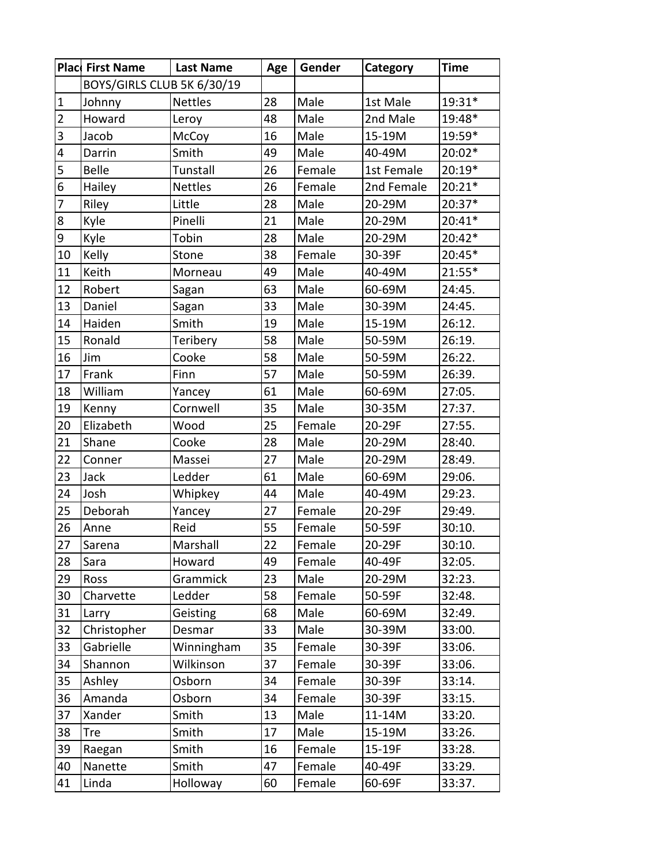|                         | Plac First Name            | <b>Last Name</b> | Age | Gender | Category   | <b>Time</b> |
|-------------------------|----------------------------|------------------|-----|--------|------------|-------------|
|                         | BOYS/GIRLS CLUB 5K 6/30/19 |                  |     |        |            |             |
| 1                       | Johnny                     | <b>Nettles</b>   | 28  | Male   | 1st Male   | 19:31*      |
| $\overline{2}$          | Howard                     | Leroy            | 48  | Male   | 2nd Male   | 19:48*      |
| $\overline{3}$          | Jacob                      | McCoy            | 16  | Male   | 15-19M     | 19:59*      |
| $\overline{\mathbf{4}}$ | Darrin                     | Smith            | 49  | Male   | 40-49M     | 20:02*      |
| 5                       | <b>Belle</b>               | Tunstall         | 26  | Female | 1st Female | $20:19*$    |
| $6\phantom{.}6$         | Hailey                     | <b>Nettles</b>   | 26  | Female | 2nd Female | $20:21*$    |
| $\overline{7}$          | Riley                      | Little           | 28  | Male   | 20-29M     | 20:37*      |
| $\boldsymbol{8}$        | Kyle                       | Pinelli          | 21  | Male   | 20-29M     | $20:41*$    |
| $\overline{9}$          | Kyle                       | Tobin            | 28  | Male   | 20-29M     | $20:42*$    |
| 10                      | Kelly                      | Stone            | 38  | Female | 30-39F     | 20:45*      |
| 11                      | Keith                      | Morneau          | 49  | Male   | 40-49M     | $21:55*$    |
| 12                      | Robert                     | Sagan            | 63  | Male   | 60-69M     | 24:45.      |
| 13                      | Daniel                     | Sagan            | 33  | Male   | 30-39M     | 24:45.      |
| 14                      | Haiden                     | Smith            | 19  | Male   | 15-19M     | 26:12.      |
| 15                      | Ronald                     | Teribery         | 58  | Male   | 50-59M     | 26:19.      |
| 16                      | Jim                        | Cooke            | 58  | Male   | 50-59M     | 26:22.      |
| 17                      | Frank                      | <b>Finn</b>      | 57  | Male   | 50-59M     | 26:39.      |
| 18                      | William                    | Yancey           | 61  | Male   | 60-69M     | 27:05.      |
| 19                      | Kenny                      | Cornwell         | 35  | Male   | 30-35M     | 27:37.      |
| 20                      | Elizabeth                  | Wood             | 25  | Female | 20-29F     | 27:55.      |
| 21                      | Shane                      | Cooke            | 28  | Male   | 20-29M     | 28:40.      |
| 22                      | Conner                     | Massei           | 27  | Male   | 20-29M     | 28:49.      |
| 23                      | Jack                       | Ledder           | 61  | Male   | 60-69M     | 29:06.      |
| 24                      | Josh                       | Whipkey          | 44  | Male   | 40-49M     | 29:23.      |
| 25                      | Deborah                    | Yancey           | 27  | Female | 20-29F     | 29:49.      |
| 26                      | Anne                       | Reid             | 55  | Female | 50-59F     | 30:10.      |
| 27                      | Sarena                     | Marshall         | 22  | Female | 20-29F     | 30:10.      |
| 28                      | Sara                       | Howard           | 49  | Female | 40-49F     | 32:05.      |
| 29                      | Ross                       | Grammick         | 23  | Male   | 20-29M     | 32:23.      |
| 30                      | Charvette                  | Ledder           | 58  | Female | 50-59F     | 32:48.      |
| 31                      | Larry                      | Geisting         | 68  | Male   | 60-69M     | 32:49.      |
| 32                      | Christopher                | Desmar           | 33  | Male   | 30-39M     | 33:00.      |
| 33                      | Gabrielle                  | Winningham       | 35  | Female | 30-39F     | 33:06.      |
| 34                      | Shannon                    | Wilkinson        | 37  | Female | 30-39F     | 33:06.      |
| 35                      | Ashley                     | Osborn           | 34  | Female | 30-39F     | 33:14.      |
| 36                      | Amanda                     | Osborn           | 34  | Female | 30-39F     | 33:15.      |
| 37                      | Xander                     | Smith            | 13  | Male   | 11-14M     | 33:20.      |
| 38                      | Tre                        | Smith            | 17  | Male   | 15-19M     | 33:26.      |
| 39                      | Raegan                     | Smith            | 16  | Female | 15-19F     | 33:28.      |
| 40                      | Nanette                    | Smith            | 47  | Female | 40-49F     | 33:29.      |
| 41                      | Linda                      | Holloway         | 60  | Female | 60-69F     | 33:37.      |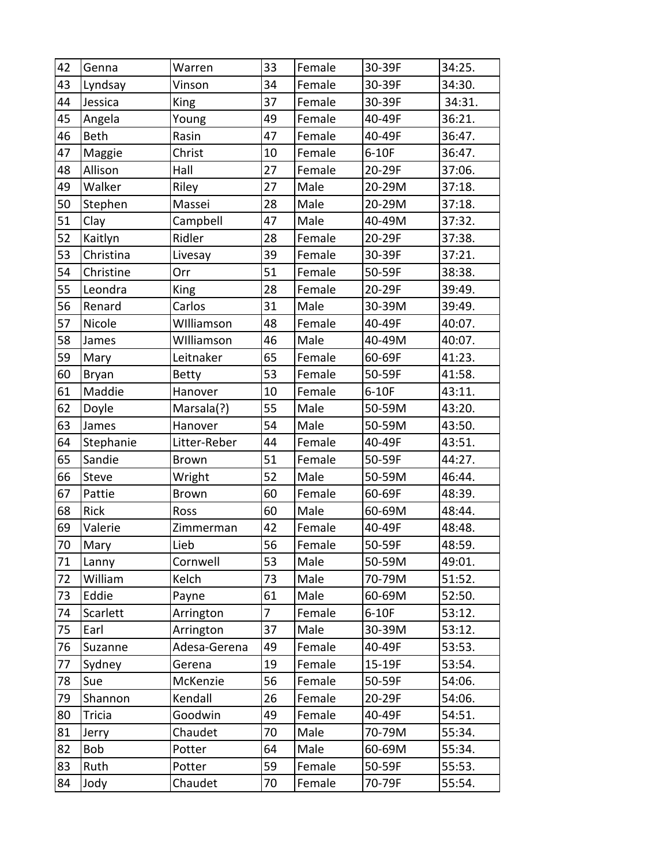| 42 | Genna       | Warren       | 33             | Female | 30-39F  | 34:25. |
|----|-------------|--------------|----------------|--------|---------|--------|
| 43 | Lyndsay     | Vinson       | 34             | Female | 30-39F  | 34:30. |
| 44 | Jessica     | King         | 37             | Female | 30-39F  | 34:31. |
| 45 | Angela      | Young        | 49             | Female | 40-49F  | 36:21. |
| 46 | Beth        | Rasin        | 47             | Female | 40-49F  | 36:47. |
| 47 | Maggie      | Christ       | 10             | Female | $6-10F$ | 36:47. |
| 48 | Allison     | Hall         | 27             | Female | 20-29F  | 37:06. |
| 49 | Walker      | Riley        | 27             | Male   | 20-29M  | 37:18. |
| 50 | Stephen     | Massei       | 28             | Male   | 20-29M  | 37:18. |
| 51 | Clay        | Campbell     | 47             | Male   | 40-49M  | 37:32. |
| 52 | Kaitlyn     | Ridler       | 28             | Female | 20-29F  | 37:38. |
| 53 | Christina   | Livesay      | 39             | Female | 30-39F  | 37:21. |
| 54 | Christine   | Orr          | 51             | Female | 50-59F  | 38:38. |
| 55 | Leondra     | King         | 28             | Female | 20-29F  | 39:49. |
| 56 | Renard      | Carlos       | 31             | Male   | 30-39M  | 39:49. |
| 57 | Nicole      | Williamson   | 48             | Female | 40-49F  | 40:07. |
| 58 | James       | Williamson   | 46             | Male   | 40-49M  | 40:07. |
| 59 | Mary        | Leitnaker    | 65             | Female | 60-69F  | 41:23. |
| 60 | Bryan       | <b>Betty</b> | 53             | Female | 50-59F  | 41:58. |
| 61 | Maddie      | Hanover      | 10             | Female | $6-10F$ | 43:11. |
| 62 | Doyle       | Marsala(?)   | 55             | Male   | 50-59M  | 43:20. |
| 63 | James       | Hanover      | 54             | Male   | 50-59M  | 43:50. |
| 64 | Stephanie   | Litter-Reber | 44             | Female | 40-49F  | 43:51. |
| 65 | Sandie      | Brown        | 51             | Female | 50-59F  | 44:27. |
| 66 | Steve       | Wright       | 52             | Male   | 50-59M  | 46:44. |
| 67 | Pattie      | <b>Brown</b> | 60             | Female | 60-69F  | 48:39. |
| 68 | <b>Rick</b> | Ross         | 60             | Male   | 60-69M  | 48:44. |
| 69 | Valerie     | Zimmerman    | 42             | Female | 40-49F  | 48:48. |
| 70 | Mary        | Lieb         | 56             | Female | 50-59F  | 48:59. |
| 71 | Lanny       | Cornwell     | 53             | Male   | 50-59M  | 49:01. |
| 72 | William     | Kelch        | 73             | Male   | 70-79M  | 51:52. |
| 73 | Eddie       | Payne        | 61             | Male   | 60-69M  | 52:50. |
| 74 | Scarlett    | Arrington    | $\overline{7}$ | Female | $6-10F$ | 53:12. |
| 75 | Earl        | Arrington    | 37             | Male   | 30-39M  | 53:12. |
| 76 | Suzanne     | Adesa-Gerena | 49             | Female | 40-49F  | 53:53. |
| 77 | Sydney      | Gerena       | 19             | Female | 15-19F  | 53:54. |
| 78 | Sue         | McKenzie     | 56             | Female | 50-59F  | 54:06. |
| 79 | Shannon     | Kendall      | 26             | Female | 20-29F  | 54:06. |
| 80 | Tricia      | Goodwin      | 49             | Female | 40-49F  | 54:51. |
| 81 | Jerry       | Chaudet      | 70             | Male   | 70-79M  | 55:34. |
| 82 | Bob         | Potter       | 64             | Male   | 60-69M  | 55:34. |
| 83 | Ruth        | Potter       | 59             | Female | 50-59F  | 55:53. |
| 84 | Jody        | Chaudet      | 70             | Female | 70-79F  | 55:54. |